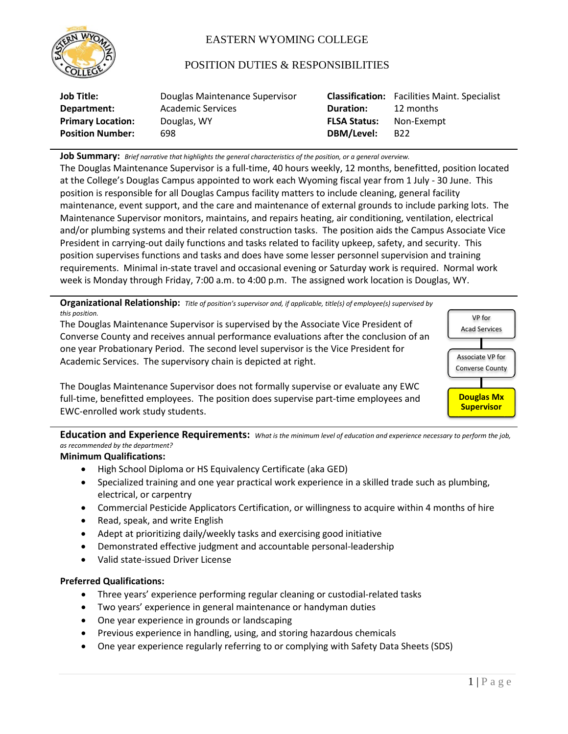

# EASTERN WYOMING COLLEGE

## POSITION DUTIES & RESPONSIBILITIES

| Job Title:               | Douglas Maintenance Supervisor |                     | <b>Classification:</b> Facilities Maint. Specialist |
|--------------------------|--------------------------------|---------------------|-----------------------------------------------------|
| Department:              | Academic Services              | <b>Duration:</b>    | 12 months                                           |
| <b>Primary Location:</b> | Douglas, WY                    | <b>FLSA Status:</b> | Non-Exempt                                          |
| <b>Position Number:</b>  | 698                            | DBM/Level:          | B22                                                 |

**Job Summary:** *Brief narrative that highlights the general characteristics of the position, or a general overview.*

The Douglas Maintenance Supervisor is a full-time, 40 hours weekly, 12 months, benefitted, position located at the College's Douglas Campus appointed to work each Wyoming fiscal year from 1 July - 30 June. This position is responsible for all Douglas Campus facility matters to include cleaning, general facility maintenance, event support, and the care and maintenance of external grounds to include parking lots. The Maintenance Supervisor monitors, maintains, and repairs heating, air conditioning, ventilation, electrical and/or plumbing systems and their related construction tasks. The position aids the Campus Associate Vice President in carrying-out daily functions and tasks related to facility upkeep, safety, and security. This position supervises functions and tasks and does have some lesser personnel supervision and training requirements. Minimal in-state travel and occasional evening or Saturday work is required. Normal work week is Monday through Friday, 7:00 a.m. to 4:00 p.m. The assigned work location is Douglas, WY.

**Organizational Relationship:** *Title of position's supervisor and, if applicable, title(s) of employee(s) supervised by this position.*

The Douglas Maintenance Supervisor is supervised by the Associate Vice President of Converse County and receives annual performance evaluations after the conclusion of an one year Probationary Period. The second level supervisor is the Vice President for Academic Services. The supervisory chain is depicted at right.



The Douglas Maintenance Supervisor does not formally supervise or evaluate any EWC full-time, benefitted employees. The position does supervise part-time employees and EWC-enrolled work study students.

**Education and Experience Requirements:** *What is the minimum level of education and experience necessary to perform the job, as recommended by the department?*

## **Minimum Qualifications:**

- High School Diploma or HS Equivalency Certificate (aka GED)
- Specialized training and one year practical work experience in a skilled trade such as plumbing, electrical, or carpentry
- Commercial Pesticide Applicators Certification, or willingness to acquire within 4 months of hire
- Read, speak, and write English
- Adept at prioritizing daily/weekly tasks and exercising good initiative
- Demonstrated effective judgment and accountable personal-leadership
- Valid state-issued Driver License

### **Preferred Qualifications:**

- Three years' experience performing regular cleaning or custodial-related tasks
- Two years' experience in general maintenance or handyman duties
- One year experience in grounds or landscaping
- Previous experience in handling, using, and storing hazardous chemicals
- One year experience regularly referring to or complying with Safety Data Sheets (SDS)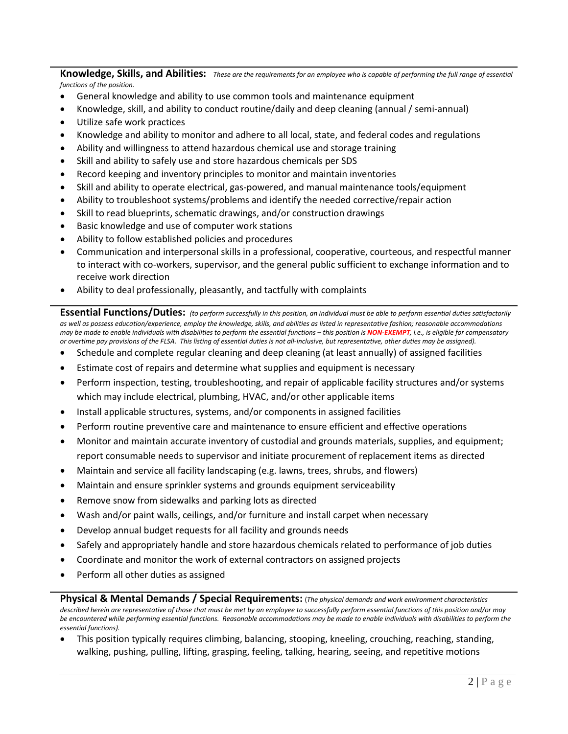**Knowledge, Skills, and Abilities:** *These are the requirements for an employee who is capable of performing the full range of essential functions of the position.*

- General knowledge and ability to use common tools and maintenance equipment
- Knowledge, skill, and ability to conduct routine/daily and deep cleaning (annual / semi-annual)
- Utilize safe work practices
- Knowledge and ability to monitor and adhere to all local, state, and federal codes and regulations
- Ability and willingness to attend hazardous chemical use and storage training
- Skill and ability to safely use and store hazardous chemicals per SDS
- Record keeping and inventory principles to monitor and maintain inventories
- Skill and ability to operate electrical, gas-powered, and manual maintenance tools/equipment
- Ability to troubleshoot systems/problems and identify the needed corrective/repair action
- Skill to read blueprints, schematic drawings, and/or construction drawings
- Basic knowledge and use of computer work stations
- Ability to follow established policies and procedures
- Communication and interpersonal skills in a professional, cooperative, courteous, and respectful manner to interact with co-workers, supervisor, and the general public sufficient to exchange information and to receive work direction
- Ability to deal professionally, pleasantly, and tactfully with complaints

**Essential Functions/Duties:** *(to perform successfully in this position, an individual must be able to perform essential duties satisfactorily as well as possess education/experience, employ the knowledge, skills, and abilities as listed in representative fashion; reasonable accommodations may be made to enable individuals with disabilities to perform the essential functions – this position is NON-EXEMPT, i.e., is eligible for compensatory or overtime pay provisions of the FLSA. This listing of essential duties is not all-inclusive, but representative, other duties may be assigned).*

- Schedule and complete regular cleaning and deep cleaning (at least annually) of assigned facilities
- Estimate cost of repairs and determine what supplies and equipment is necessary
- Perform inspection, testing, troubleshooting, and repair of applicable facility structures and/or systems which may include electrical, plumbing, HVAC, and/or other applicable items
- Install applicable structures, systems, and/or components in assigned facilities
- Perform routine preventive care and maintenance to ensure efficient and effective operations
- Monitor and maintain accurate inventory of custodial and grounds materials, supplies, and equipment; report consumable needs to supervisor and initiate procurement of replacement items as directed
- Maintain and service all facility landscaping (e.g. lawns, trees, shrubs, and flowers)
- Maintain and ensure sprinkler systems and grounds equipment serviceability
- Remove snow from sidewalks and parking lots as directed
- Wash and/or paint walls, ceilings, and/or furniture and install carpet when necessary
- Develop annual budget requests for all facility and grounds needs
- Safely and appropriately handle and store hazardous chemicals related to performance of job duties
- Coordinate and monitor the work of external contractors on assigned projects
- Perform all other duties as assigned

**Physical & Mental Demands / Special Requirements:** (*The physical demands and work environment characteristics described herein are representative of those that must be met by an employee to successfully perform essential functions of this position and/or may*  be encountered while performing essential functions. Reasonable accommodations may be made to enable individuals with disabilities to perform the *essential functions).*

• This position typically requires climbing, balancing, stooping, kneeling, crouching, reaching, standing, walking, pushing, pulling, lifting, grasping, feeling, talking, hearing, seeing, and repetitive motions